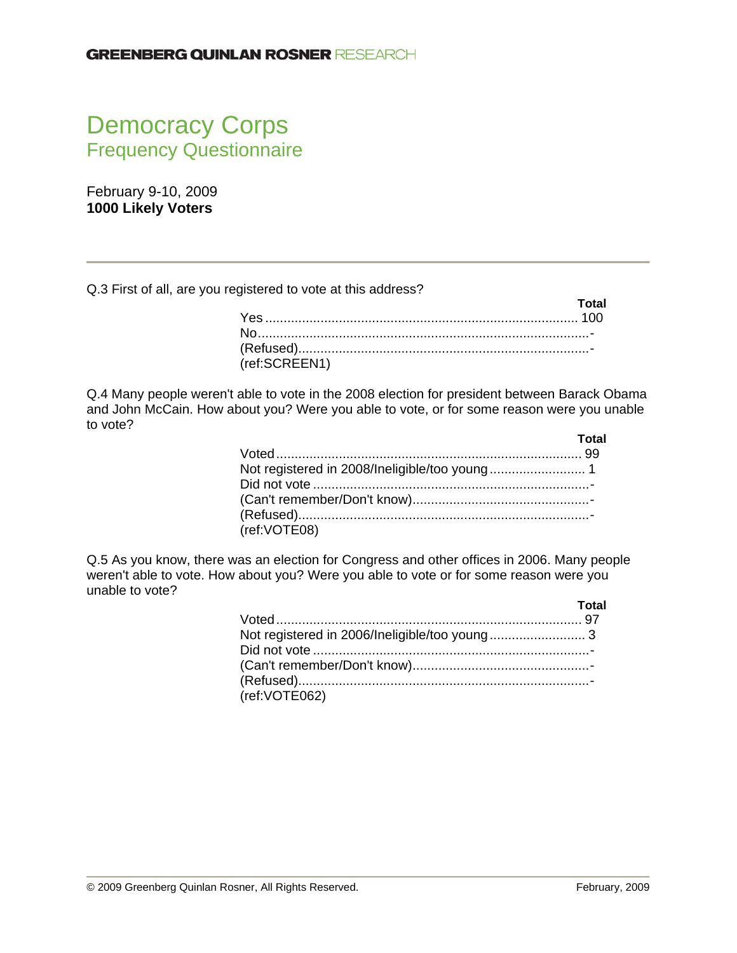# Democracy Corps Frequency Questionnaire

February 9-10, 2009 **1000 Likely Voters** 

Q.3 First of all, are you registered to vote at this address?

|               | Total |
|---------------|-------|
|               |       |
|               |       |
|               |       |
| (ref:SCREEN1) |       |

Q.4 Many people weren't able to vote in the 2008 election for president between Barack Obama and John McCain. How about you? Were you able to vote, or for some reason were you unable to vote?

|              | Total |
|--------------|-------|
|              |       |
|              |       |
|              |       |
|              |       |
|              |       |
| (ref:VOTE08) |       |

Q.5 As you know, there was an election for Congress and other offices in 2006. Many people weren't able to vote. How about you? Were you able to vote or for some reason were you unable to vote?

|                                               | Total |
|-----------------------------------------------|-------|
|                                               |       |
| Not registered in 2006/Ineligible/too young 3 |       |
|                                               |       |
|                                               |       |
|                                               |       |
| (ref:VOTE062)                                 |       |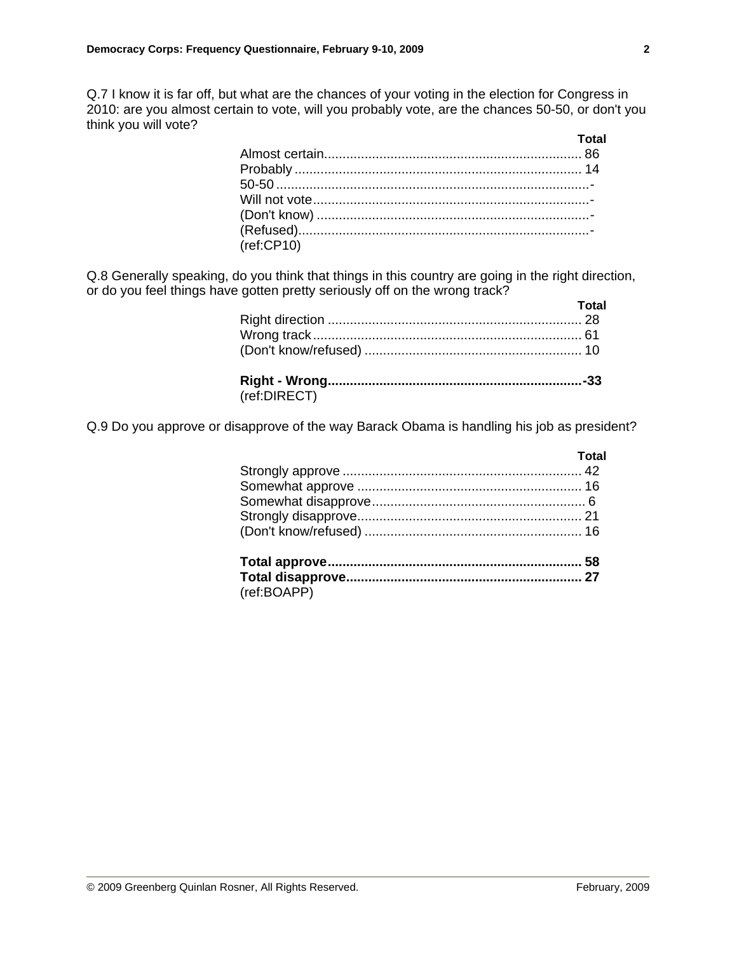Q.7 I know it is far off, but what are the chances of your voting in the election for Congress in 2010: are you almost certain to vote, will you probably vote, are the chances 50-50, or don't you think you will vote?

| (ref:CP10) |  |
|------------|--|
|            |  |

Q.8 Generally speaking, do you think that things in this country are going in the right direction, or do you feel things have gotten pretty seriously off on the wrong track?

|              | Total |
|--------------|-------|
|              |       |
|              |       |
|              |       |
|              |       |
| (ref:DIRECT) |       |

Q.9 Do you approve or disapprove of the way Barack Obama is handling his job as president?

| Total |
|-------|
|       |
|       |
|       |
|       |
|       |
|       |
|       |

(ref:BOAPP)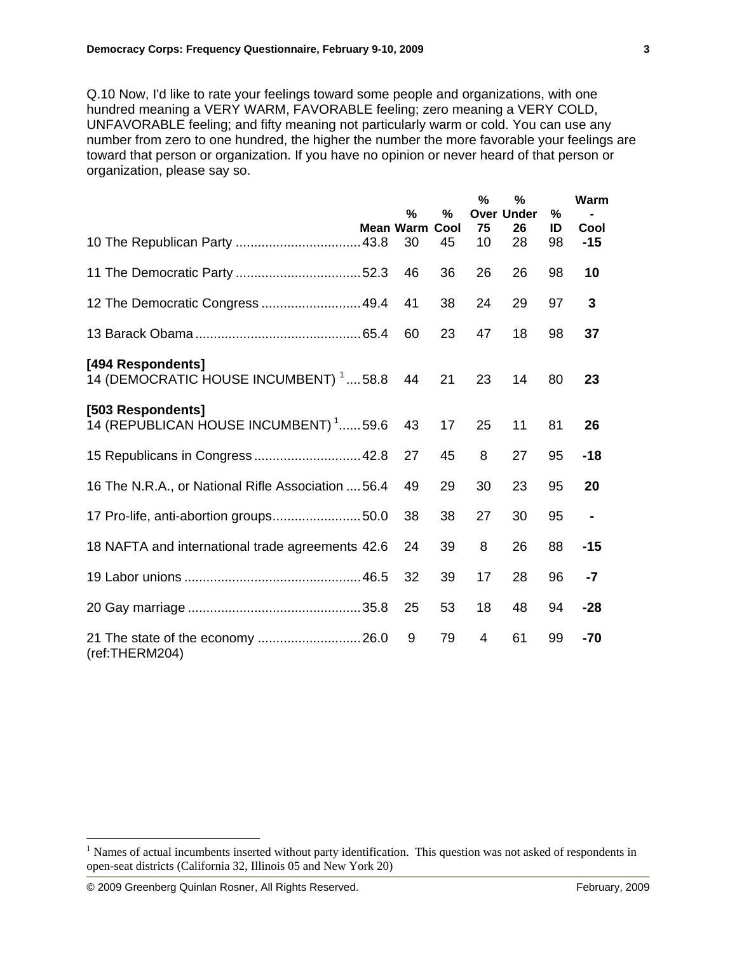Q.10 Now, I'd like to rate your feelings toward some people and organizations, with one hundred meaning a VERY WARM, FAVORABLE feeling; zero meaning a VERY COLD, UNFAVORABLE feeling; and fifty meaning not particularly warm or cold. You can use any number from zero to one hundred, the higher the number the more favorable your feelings are toward that person or organization. If you have no opinion or never heard of that person or organization, please say so.

|                                                                           | %                      | %          | $\%$           | %<br><b>Over Under</b> | %        | Warm           |
|---------------------------------------------------------------------------|------------------------|------------|----------------|------------------------|----------|----------------|
|                                                                           | <b>Mean Warm</b><br>30 | Cool<br>45 | 75<br>10       | 26<br>28               | ID<br>98 | Cool<br>$-15$  |
|                                                                           | 46                     | 36         | 26             | 26                     | 98       | 10             |
| 12 The Democratic Congress  49.4                                          | 41                     | 38         | 24             | 29                     | 97       | 3              |
|                                                                           | 60                     | 23         | 47             | 18                     | 98       | 37             |
| [494 Respondents]<br>14 (DEMOCRATIC HOUSE INCUMBENT) <sup>1</sup> 58.8 44 |                        | 21         | 23             | 14                     | 80       | 23             |
| [503 Respondents]<br>14 (REPUBLICAN HOUSE INCUMBENT) <sup>1</sup> 59.6    | 43                     | 17         | 25             | 11                     | 81       | 26             |
| 15 Republicans in Congress 42.8                                           | 27                     | 45         | 8              | 27                     | 95       | $-18$          |
| 16 The N.R.A., or National Rifle Association  56.4                        | 49                     | 29         | 30             | 23                     | 95       | 20             |
|                                                                           | 38                     | 38         | 27             | 30                     | 95       | $\blacksquare$ |
| 18 NAFTA and international trade agreements 42.6                          | 24                     | 39         | 8              | 26                     | 88       | $-15$          |
|                                                                           | 32                     | 39         | 17             | 28                     | 96       | $-7$           |
|                                                                           | 25                     | 53         | 18             | 48                     | 94       | $-28$          |
| (ref:THERM204)                                                            | 9                      | 79         | $\overline{4}$ | 61                     | 99       | $-70$          |

 $\overline{a}$ 

<sup>&</sup>lt;sup>1</sup> Names of actual incumbents inserted without party identification. This question was not asked of respondents in open-seat districts (California 32, Illinois 05 and New York 20)

<sup>© 2009</sup> Greenberg Quinlan Rosner, All Rights Reserved. February, 2009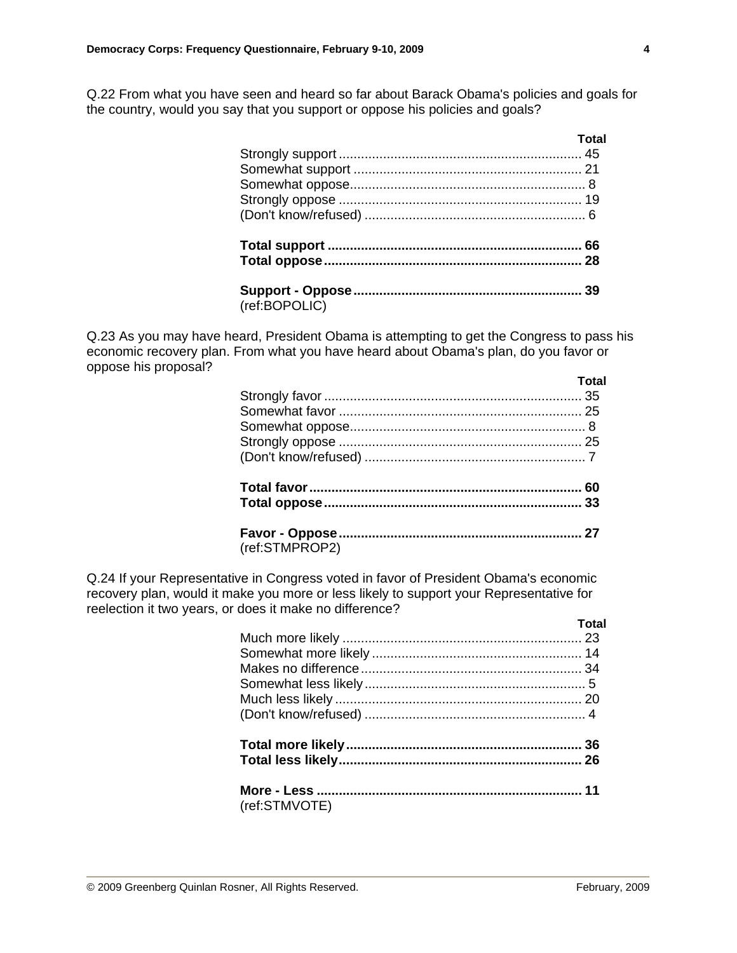Q.22 From what you have seen and heard so far about Barack Obama's policies and goals for the country, would you say that you support or oppose his policies and goals?

|               | Total |
|---------------|-------|
|               |       |
|               |       |
|               |       |
|               |       |
|               |       |
|               |       |
|               |       |
| (ref:BOPOLIC) |       |

Q.23 As you may have heard, President Obama is attempting to get the Congress to pass his economic recovery plan. From what you have heard about Obama's plan, do you favor or oppose his proposal?

|                | <b>Total</b> |
|----------------|--------------|
|                |              |
|                |              |
|                |              |
|                |              |
|                |              |
|                |              |
|                |              |
|                |              |
| (ref:STMPROP2) |              |

Q.24 If your Representative in Congress voted in favor of President Obama's economic recovery plan, would it make you more or less likely to support your Representative for reelection it two years, or does it make no difference?

|               | Total |
|---------------|-------|
|               |       |
|               |       |
|               |       |
|               |       |
|               |       |
|               |       |
|               |       |
|               |       |
|               |       |
| (ref:STMVOTE) |       |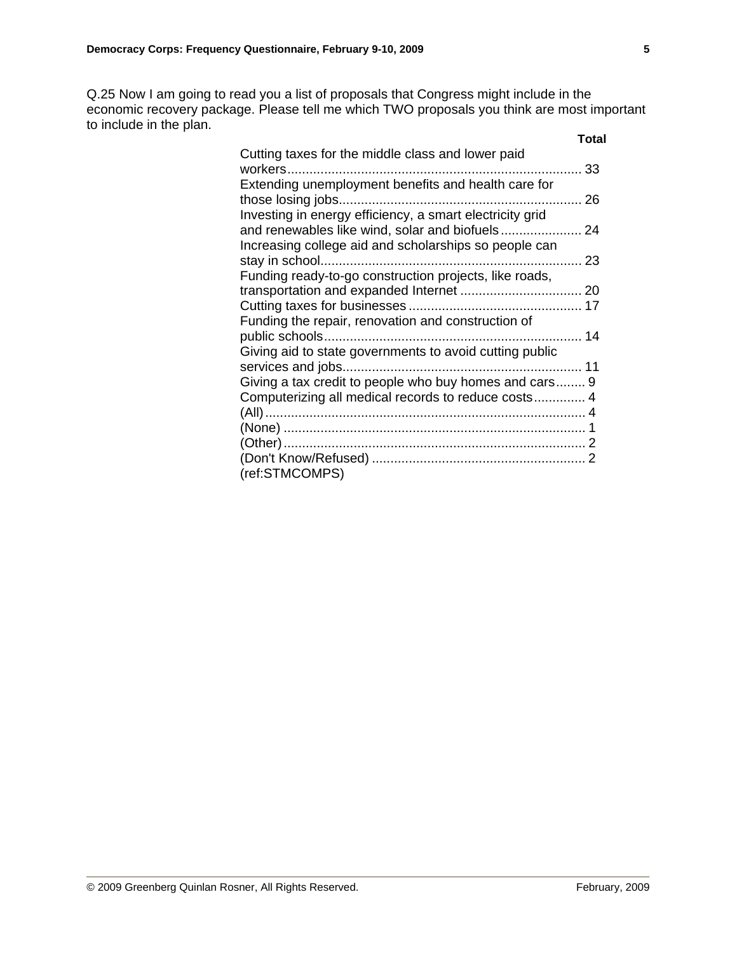Q.25 Now I am going to read you a list of proposals that Congress might include in the economic recovery package. Please tell me which TWO proposals you think are most important to include in the plan.

|                                                          | Total |
|----------------------------------------------------------|-------|
| Cutting taxes for the middle class and lower paid        |       |
|                                                          |       |
| Extending unemployment benefits and health care for      |       |
|                                                          |       |
| Investing in energy efficiency, a smart electricity grid |       |
|                                                          |       |
| Increasing college aid and scholarships so people can    |       |
|                                                          |       |
| Funding ready-to-go construction projects, like roads,   |       |
|                                                          |       |
|                                                          |       |
| Funding the repair, renovation and construction of       |       |
|                                                          |       |
| Giving aid to state governments to avoid cutting public  |       |
|                                                          |       |
| Giving a tax credit to people who buy homes and cars 9   |       |
| Computerizing all medical records to reduce costs 4      |       |
|                                                          |       |
|                                                          |       |
|                                                          |       |
|                                                          |       |
| (ref:STMCOMPS)                                           |       |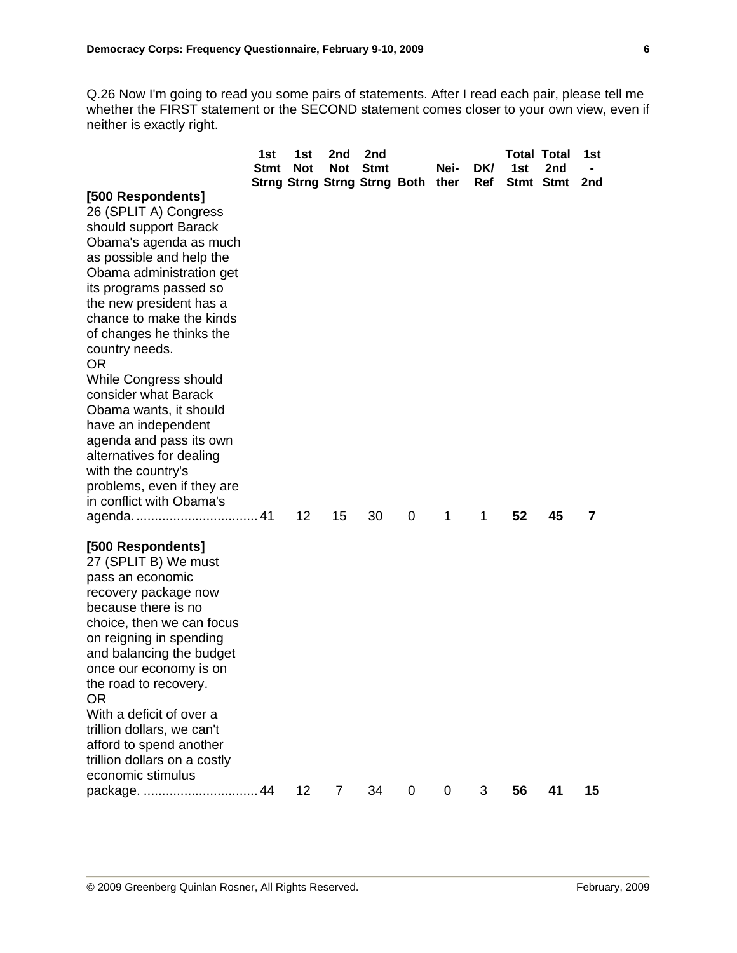Q.26 Now I'm going to read you some pairs of statements. After I read each pair, please tell me whether the FIRST statement or the SECOND statement comes closer to your own view, even if neither is exactly right.

|                                                                                                                                                                                                                                                                                                                                                                                     | 1st<br><b>Stmt</b> | 1st<br><b>Not</b> | 2nd<br><b>Not</b> | 2nd<br><b>Stmt</b>                |             | Nei- | DK/ | 1st | <b>Total Total</b><br>2nd | 1st |
|-------------------------------------------------------------------------------------------------------------------------------------------------------------------------------------------------------------------------------------------------------------------------------------------------------------------------------------------------------------------------------------|--------------------|-------------------|-------------------|-----------------------------------|-------------|------|-----|-----|---------------------------|-----|
| [500 Respondents]<br>26 (SPLIT A) Congress<br>should support Barack<br>Obama's agenda as much<br>as possible and help the<br>Obama administration get<br>its programs passed so<br>the new president has a<br>chance to make the kinds<br>of changes he thinks the<br>country needs.<br><b>OR</b><br><b>While Congress should</b><br>consider what Barack<br>Obama wants, it should |                    |                   |                   | Strng Strng Strng Strng Both ther |             |      | Ref |     | Stmt Stmt                 | 2nd |
| have an independent<br>agenda and pass its own<br>alternatives for dealing<br>with the country's<br>problems, even if they are<br>in conflict with Obama's                                                                                                                                                                                                                          |                    | 12                | 15                | 30                                | 0           | 1    | 1   | 52  | 45                        | 7   |
| [500 Respondents]<br>27 (SPLIT B) We must<br>pass an economic<br>recovery package now<br>because there is no<br>choice, then we can focus<br>on reigning in spending<br>and balancing the budget<br>once our economy is on<br>the road to recovery.<br><b>OR</b>                                                                                                                    |                    |                   |                   |                                   |             |      |     |     |                           |     |
| With a deficit of over a<br>trillion dollars, we can't<br>afford to spend another<br>trillion dollars on a costly<br>economic stimulus<br>package.                                                                                                                                                                                                                                  | 44                 | 12                | $\overline{7}$    | 34                                | $\mathbf 0$ | 0    | 3   | 56  | 41                        | 15  |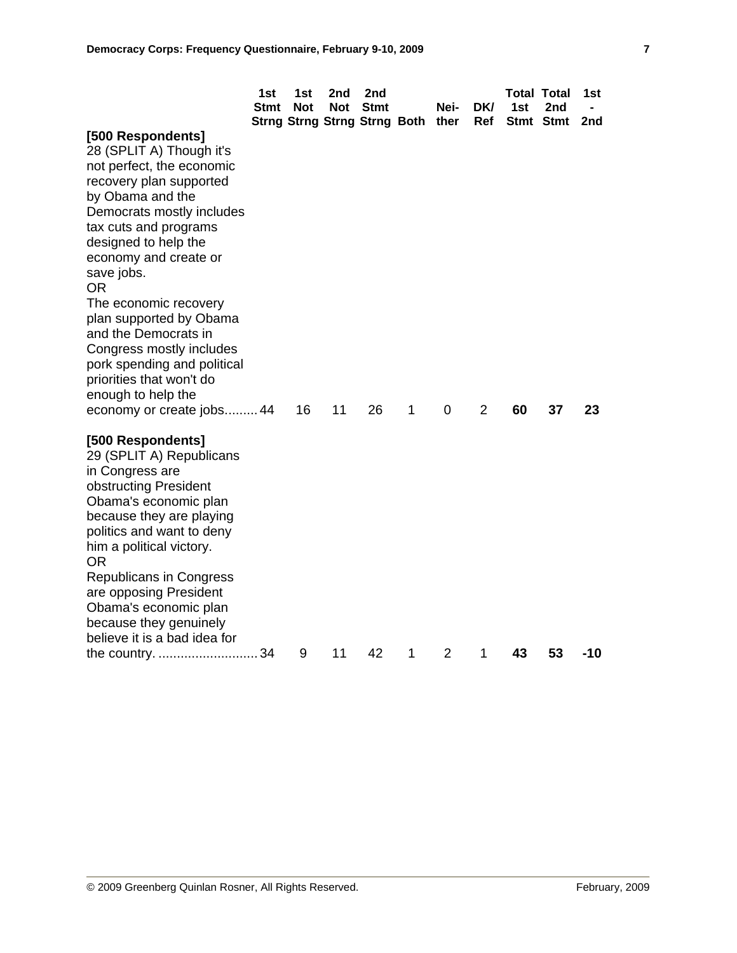|                                                                                                                                                                                                                                                                                                                                                       | 1st<br>Stmt | 1st<br><b>Not</b> | 2nd<br><b>Not</b> | 2nd<br><b>Stmt</b><br>Strng Strng Strng Strng Both ther |   | Nei-           | DK/<br>Ref     | <b>Total Total</b><br>1st | 2nd<br>Stmt Stmt | 1st<br>2nd |
|-------------------------------------------------------------------------------------------------------------------------------------------------------------------------------------------------------------------------------------------------------------------------------------------------------------------------------------------------------|-------------|-------------------|-------------------|---------------------------------------------------------|---|----------------|----------------|---------------------------|------------------|------------|
| [500 Respondents]<br>28 (SPLIT A) Though it's<br>not perfect, the economic<br>recovery plan supported<br>by Obama and the<br>Democrats mostly includes<br>tax cuts and programs<br>designed to help the<br>economy and create or<br>save jobs.                                                                                                        |             |                   |                   |                                                         |   |                |                |                           |                  |            |
| 0R<br>The economic recovery<br>plan supported by Obama<br>and the Democrats in<br>Congress mostly includes<br>pork spending and political<br>priorities that won't do<br>enough to help the<br>economy or create jobs 44                                                                                                                              |             | 16                | 11                | 26                                                      | 1 | 0              | $\overline{2}$ | 60                        | 37               | 23         |
| [500 Respondents]<br>29 (SPLIT A) Republicans<br>in Congress are<br>obstructing President<br>Obama's economic plan<br>because they are playing<br>politics and want to deny<br>him a political victory.<br>OR<br>Republicans in Congress<br>are opposing President<br>Obama's economic plan<br>because they genuinely<br>believe it is a bad idea for |             |                   |                   |                                                         |   |                |                |                           |                  |            |
| the country. 34                                                                                                                                                                                                                                                                                                                                       |             | 9                 | 11                | 42                                                      | 1 | $\overline{2}$ | 1              | 43                        | 53               | -10        |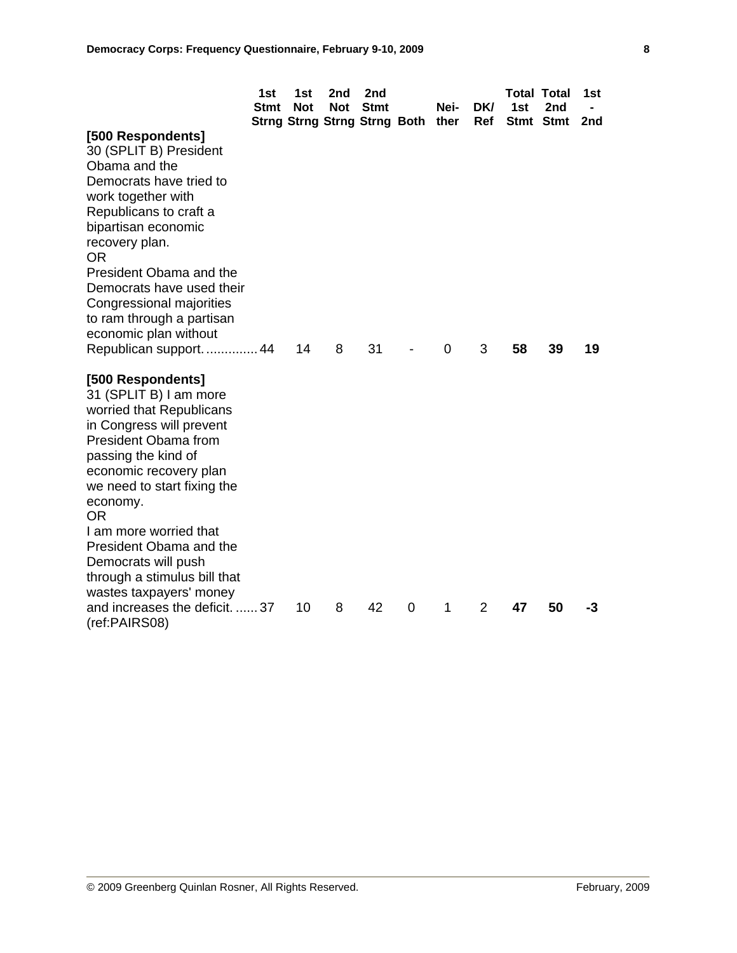|                                | 1st<br><b>Stmt</b> | 1st<br><b>Not</b> | 2nd<br>Not | 2nd<br><b>Stmt</b>                  |   | Nei- | DK/ | 1st | <b>Total Total</b><br>2nd | 1st |
|--------------------------------|--------------------|-------------------|------------|-------------------------------------|---|------|-----|-----|---------------------------|-----|
|                                |                    |                   |            | <b>Strng Strng Strng Strng Both</b> |   | ther | Ref |     | Stmt Stmt                 | 2nd |
| [500 Respondents]              |                    |                   |            |                                     |   |      |     |     |                           |     |
| 30 (SPLIT B) President         |                    |                   |            |                                     |   |      |     |     |                           |     |
| Obama and the                  |                    |                   |            |                                     |   |      |     |     |                           |     |
| Democrats have tried to        |                    |                   |            |                                     |   |      |     |     |                           |     |
| work together with             |                    |                   |            |                                     |   |      |     |     |                           |     |
| Republicans to craft a         |                    |                   |            |                                     |   |      |     |     |                           |     |
| bipartisan economic            |                    |                   |            |                                     |   |      |     |     |                           |     |
| recovery plan.                 |                    |                   |            |                                     |   |      |     |     |                           |     |
| <b>OR</b>                      |                    |                   |            |                                     |   |      |     |     |                           |     |
| President Obama and the        |                    |                   |            |                                     |   |      |     |     |                           |     |
| Democrats have used their      |                    |                   |            |                                     |   |      |     |     |                           |     |
| Congressional majorities       |                    |                   |            |                                     |   |      |     |     |                           |     |
| to ram through a partisan      |                    |                   |            |                                     |   |      |     |     |                           |     |
| economic plan without          |                    |                   |            |                                     |   |      |     |     |                           |     |
| Republican support.  44        |                    | 14                | 8          | 31                                  |   | 0    | 3   | 58  | 39                        | 19  |
| [500 Respondents]              |                    |                   |            |                                     |   |      |     |     |                           |     |
| 31 (SPLIT B) I am more         |                    |                   |            |                                     |   |      |     |     |                           |     |
| worried that Republicans       |                    |                   |            |                                     |   |      |     |     |                           |     |
| in Congress will prevent       |                    |                   |            |                                     |   |      |     |     |                           |     |
| President Obama from           |                    |                   |            |                                     |   |      |     |     |                           |     |
| passing the kind of            |                    |                   |            |                                     |   |      |     |     |                           |     |
| economic recovery plan         |                    |                   |            |                                     |   |      |     |     |                           |     |
| we need to start fixing the    |                    |                   |            |                                     |   |      |     |     |                           |     |
| economy.                       |                    |                   |            |                                     |   |      |     |     |                           |     |
| OR.                            |                    |                   |            |                                     |   |      |     |     |                           |     |
| I am more worried that         |                    |                   |            |                                     |   |      |     |     |                           |     |
| President Obama and the        |                    |                   |            |                                     |   |      |     |     |                           |     |
| Democrats will push            |                    |                   |            |                                     |   |      |     |     |                           |     |
| through a stimulus bill that   |                    |                   |            |                                     |   |      |     |     |                           |     |
| wastes taxpayers' money        |                    |                   |            |                                     |   |      |     |     |                           |     |
| and increases the deficit.  37 |                    | 10                | 8          | 42                                  | 0 | 1    | 2   | 47  | 50                        | -3  |
| (ref:PAIRS08)                  |                    |                   |            |                                     |   |      |     |     |                           |     |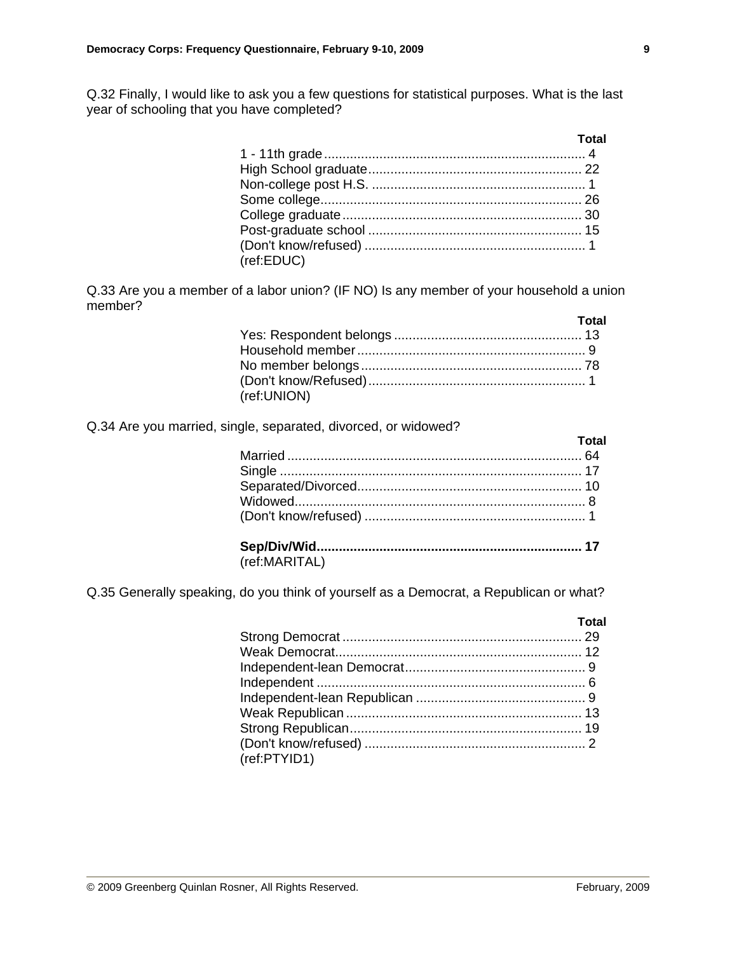Q.32 Finally, I would like to ask you a few questions for statistical purposes. What is the last year of schooling that you have completed?

|            | Total |
|------------|-------|
|            |       |
|            |       |
|            |       |
|            |       |
|            |       |
|            |       |
|            |       |
| (ref:EDUC) |       |

Q.33 Are you a member of a labor union? (IF NO) Is any member of your household a union member?

|             | Total |
|-------------|-------|
|             |       |
|             |       |
|             |       |
|             |       |
| (ref:UNION) |       |

## Q.34 Are you married, single, separated, divorced, or widowed?

|               | Total |
|---------------|-------|
|               |       |
|               |       |
|               |       |
|               |       |
|               |       |
|               |       |
| (ref:MARITAL) |       |

Q.35 Generally speaking, do you think of yourself as a Democrat, a Republican or what?

|              | Total |
|--------------|-------|
|              |       |
|              |       |
|              |       |
|              |       |
|              |       |
|              |       |
|              |       |
|              |       |
| (ref:PTYID1) |       |
|              |       |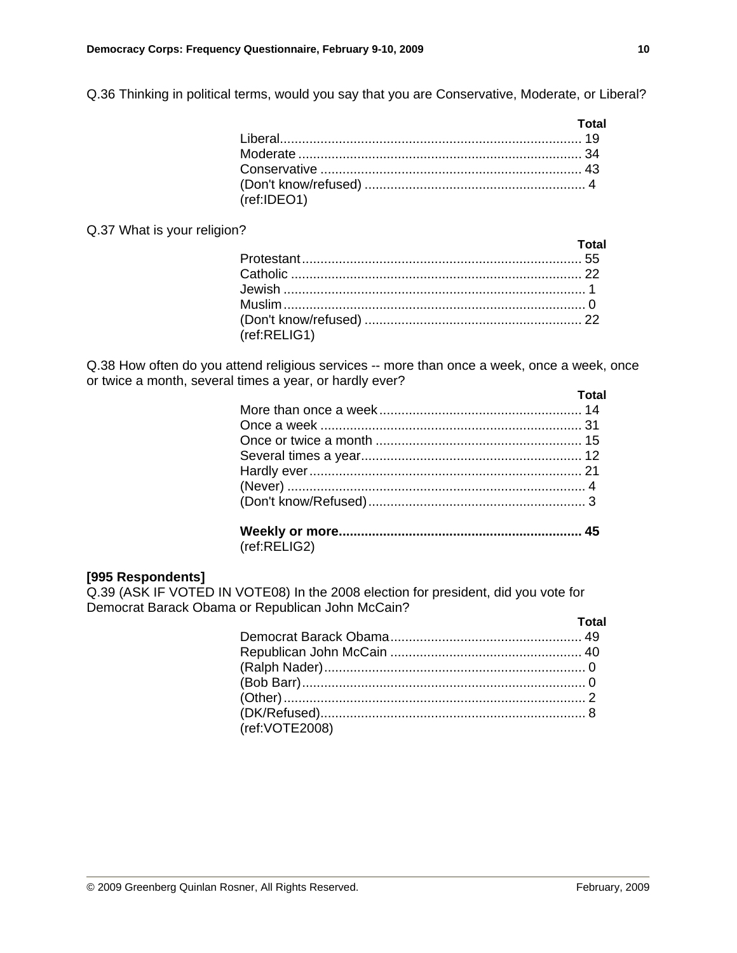Q.36 Thinking in political terms, would you say that you are Conservative, Moderate, or Liberal?

|             | <u>and the state of</u> <b>Total</b> |
|-------------|--------------------------------------|
|             |                                      |
|             |                                      |
|             |                                      |
|             |                                      |
| (ref:IDEO1) |                                      |

### Q.37 What is your religion?

|              | <u>and the contract of the Total</u> |
|--------------|--------------------------------------|
|              |                                      |
|              |                                      |
|              |                                      |
|              |                                      |
|              |                                      |
| (ref:RELIG1) |                                      |

Q.38 How often do you attend religious services -- more than once a week, once a week, once or twice a month, several times a year, or hardly ever?

(ref:RELIG2)

## **[995 Respondents]**

Q.39 (ASK IF VOTED IN VOTE08) In the 2008 election for president, did you vote for Democrat Barack Obama or Republican John McCain?

|                | Total |
|----------------|-------|
|                |       |
|                |       |
|                |       |
|                |       |
|                |       |
|                |       |
| (ref:VOTE2008) |       |